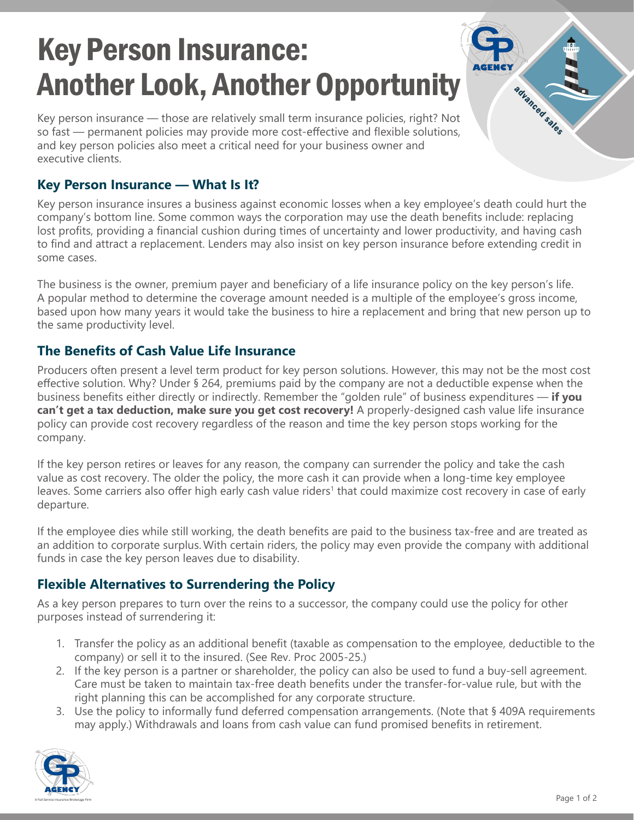# Key Person Insurance: Another Look, Another Opportunity

Key person insurance — those are relatively small term insurance policies, right? Not so fast — permanent policies may provide more cost-effective and flexible solutions, and key person policies also meet a critical need for your business owner and executive clients.

#### **Key Person Insurance — What Is It?**

Key person insurance insures a business against economic losses when a key employee's death could hurt the company's bottom line. Some common ways the corporation may use the death benefits include: replacing lost profits, providing a financial cushion during times of uncertainty and lower productivity, and having cash to find and attract a replacement. Lenders may also insist on key person insurance before extending credit in some cases.

The business is the owner, premium payer and beneficiary of a life insurance policy on the key person's life. A popular method to determine the coverage amount needed is a multiple of the employee's gross income, based upon how many years it would take the business to hire a replacement and bring that new person up to the same productivity level.

### **The Benefits of Cash Value Life Insurance**

Producers often present a level term product for key person solutions. However, this may not be the most cost effective solution. Why? Under § 264, premiums paid by the company are not a deductible expense when the business benefits either directly or indirectly. Remember the "golden rule" of business expenditures — **if you can't get a tax deduction, make sure you get cost recovery!** A properly-designed cash value life insurance policy can provide cost recovery regardless of the reason and time the key person stops working for the company.

If the key person retires or leaves for any reason, the company can surrender the policy and take the cash value as cost recovery. The older the policy, the more cash it can provide when a long-time key employee leaves. Some carriers also offer high early cash value riders<sup>1</sup> that could maximize cost recovery in case of early departure.

If the employee dies while still working, the death benefits are paid to the business tax-free and are treated as an addition to corporate surplus. With certain riders, the policy may even provide the company with additional funds in case the key person leaves due to disability.

## **Flexible Alternatives to Surrendering the Policy**

As a key person prepares to turn over the reins to a successor, the company could use the policy for other purposes instead of surrendering it:

- 1. Transfer the policy as an additional benefit (taxable as compensation to the employee, deductible to the company) or sell it to the insured. (See Rev. Proc 2005-25.)
- 2. If the key person is a partner or shareholder, the policy can also be used to fund a buy-sell agreement. Care must be taken to maintain tax-free death benefits under the transfer-for-value rule, but with the right planning this can be accomplished for any corporate structure.
- 3. Use the policy to informally fund deferred compensation arrangements. (Note that § 409A requirements may apply.) Withdrawals and loans from cash value can fund promised benefits in retirement.



advanced sales